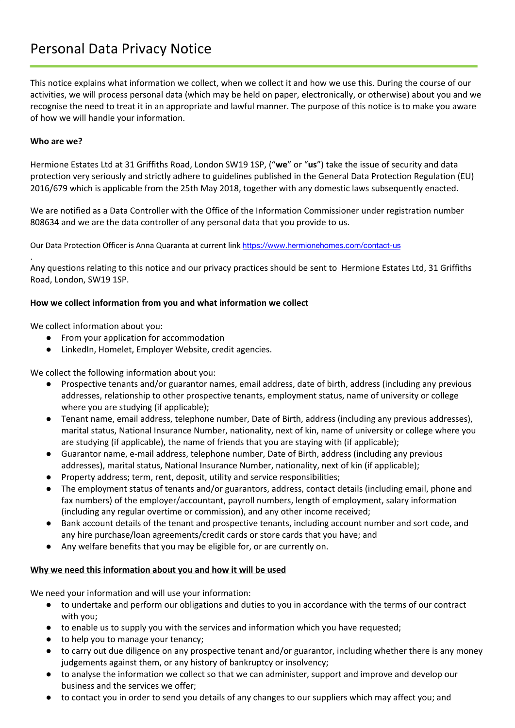# Personal Data Privacy Notice

This notice explains what information we collect, when we collect it and how we use this. During the course of our activities, we will process personal data (which may be held on paper, electronically, or otherwise) about you and we recognise the need to treat it in an appropriate and lawful manner. The purpose of this notice is to make you aware of how we will handle your information.

### **Who are we?**

Hermione Estates Ltd at 31 Griffiths Road, London SW19 1SP, ("**we**" or "**us**") take the issue of security and data protection very seriously and strictly adhere to guidelines published in the General Data Protection Regulation (EU) 2016/679 which is applicable from the 25th May 2018, together with any domestic laws subsequently enacted.

We are notified as a Data Controller with the Office of the Information Commissioner under registration number 808634 and we are the data controller of any personal data that you provide to us.

Our Data Protection Officer is Anna Quaranta at current link <https://www.hermionehomes.com/contact-us>

. Any questions relating to this notice and our privacy practices should be sent to Hermione Estates Ltd, 31 Griffiths Road, London, SW19 1SP.

## **How we collect information from you and what information we collect**

We collect information about you:

- From your application for accommodation
- LinkedIn, Homelet, Employer Website, credit agencies.

We collect the following information about you:

- Prospective tenants and/or guarantor names, email address, date of birth, address (including any previous addresses, relationship to other prospective tenants, employment status, name of university or college where you are studying (if applicable);
- Tenant name, email address, telephone number, Date of Birth, address (including any previous addresses), marital status, National Insurance Number, nationality, next of kin, name of university or college where you are studying (if applicable), the name of friends that you are staying with (if applicable);
- Guarantor name, e-mail address, telephone number, Date of Birth, address (including any previous addresses), marital status, National Insurance Number, nationality, next of kin (if applicable);
- Property address; term, rent, deposit, utility and service responsibilities;
- The employment status of tenants and/or guarantors, address, contact details (including email, phone and fax numbers) of the employer/accountant, payroll numbers, length of employment, salary information (including any regular overtime or commission), and any other income received;
- Bank account details of the tenant and prospective tenants, including account number and sort code, and any hire purchase/loan agreements/credit cards or store cards that you have; and
- Any welfare benefits that you may be eligible for, or are currently on.

#### **Why we need this information about you and how it will be used**

We need your information and will use your information:

- to undertake and perform our obligations and duties to you in accordance with the terms of our contract with you;
- to enable us to supply you with the services and information which you have requested;
- to help you to manage your tenancy;
- to carry out due diligence on any prospective tenant and/or guarantor, including whether there is any money judgements against them, or any history of bankruptcy or insolvency;
- to analyse the information we collect so that we can administer, support and improve and develop our business and the services we offer;
- to contact you in order to send you details of any changes to our suppliers which may affect you; and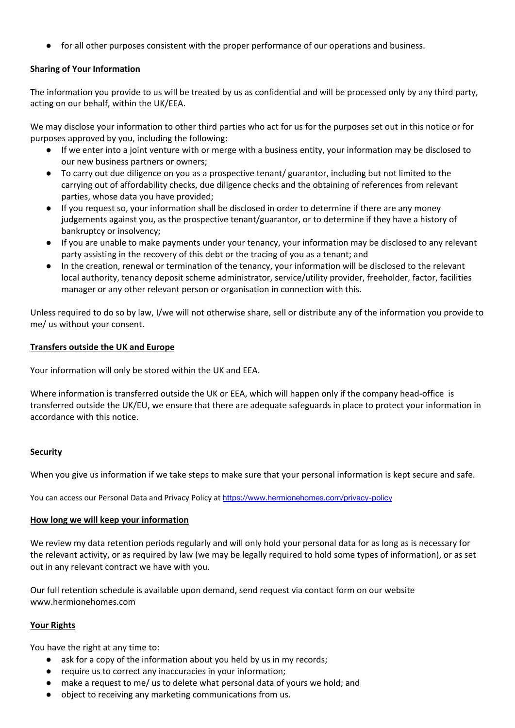for all other purposes consistent with the proper performance of our operations and business.

# **Sharing of Your Information**

The information you provide to us will be treated by us as confidential and will be processed only by any third party, acting on our behalf, within the UK/EEA.

We may disclose your information to other third parties who act for us for the purposes set out in this notice or for purposes approved by you, including the following:

- If we enter into a joint venture with or merge with a business entity, your information may be disclosed to our new business partners or owners;
- To carry out due diligence on you as a prospective tenant/ guarantor, including but not limited to the carrying out of affordability checks, due diligence checks and the obtaining of references from relevant parties, whose data you have provided;
- If you request so, your information shall be disclosed in order to determine if there are any money judgements against you, as the prospective tenant/guarantor, or to determine if they have a history of bankruptcy or insolvency;
- If you are unable to make payments under your tenancy, your information may be disclosed to any relevant party assisting in the recovery of this debt or the tracing of you as a tenant; and
- In the creation, renewal or termination of the tenancy, your information will be disclosed to the relevant local authority, tenancy deposit scheme administrator, service/utility provider, freeholder, factor, facilities manager or any other relevant person or organisation in connection with this.

Unless required to do so by law, I/we will not otherwise share, sell or distribute any of the information you provide to me/ us without your consent.

## **Transfers outside the UK and Europe**

Your information will only be stored within the UK and EEA.

Where information is transferred outside the UK or EEA, which will happen only if the company head-office is transferred outside the UK/EU, we ensure that there are adequate safeguards in place to protect your information in accordance with this notice.

# **Security**

When you give us information if we take steps to make sure that your personal information is kept secure and safe.

You can access our Personal Data and Privacy Policy at <https://www.hermionehomes.com/privacy-policy>

#### **How long we will keep your information**

We review my data retention periods regularly and will only hold your personal data for as long as is necessary for the relevant activity, or as required by law (we may be legally required to hold some types of information), or as set out in any relevant contract we have with you.

Our full retention schedule is available upon demand, send request via contact form on our website www.hermionehomes.com

# **Your Rights**

You have the right at any time to:

- ask for a copy of the information about you held by us in my records;
- require us to correct any inaccuracies in your information;
- make a request to me/ us to delete what personal data of yours we hold; and
- object to receiving any marketing communications from us.